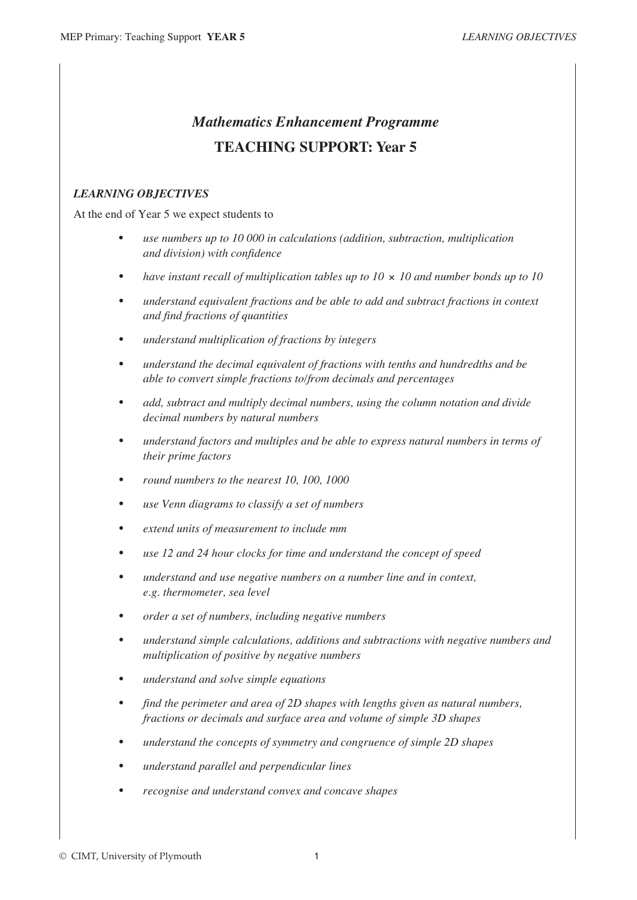## *Mathematics Enhancement Programme* **TEACHING SUPPORT: Year 5**

## *LEARNING OBJECTIVES*

At the end of Year 5 we expect students to

- *use numbers up to 10 000 in calculations (addition, subtraction, multiplication and division) with confidence*
- *have instant recall of multiplication tables up to 10*  $\times$  *10 and number bonds up to 10*
- *• understand equivalent fractions and be able to add and subtract fractions in context and find fractions of quantities*
- *• understand multiplication of fractions by integers*
- *• understand the decimal equivalent of fractions with tenths and hundredths and be able to convert simple fractions to/from decimals and percentages*
- *• add, subtract and multiply decimal numbers, using the column notation and divide decimal numbers by natural numbers*
- *• understand factors and multiples and be able to express natural numbers in terms of their prime factors*
- *• round numbers to the nearest 10, 100, 1000*
- *• use Venn diagrams to classify a set of numbers*
- *• extend units of measurement to include mm*
- *• use 12 and 24 hour clocks for time and understand the concept of speed*
- *• understand and use negative numbers on a number line and in context, e.g. thermometer, sea level*
- *• order a set of numbers, including negative numbers*
- *• understand simple calculations, additions and subtractions with negative numbers and multiplication of positive by negative numbers*
- *• understand and solve simple equations*
- *• find the perimeter and area of 2D shapes with lengths given as natural numbers, fractions or decimals and surface area and volume of simple 3D shapes*
- *• understand the concepts of symmetry and congruence of simple 2D shapes*
- *• understand parallel and perpendicular lines*
- *• recognise and understand convex and concave shapes*